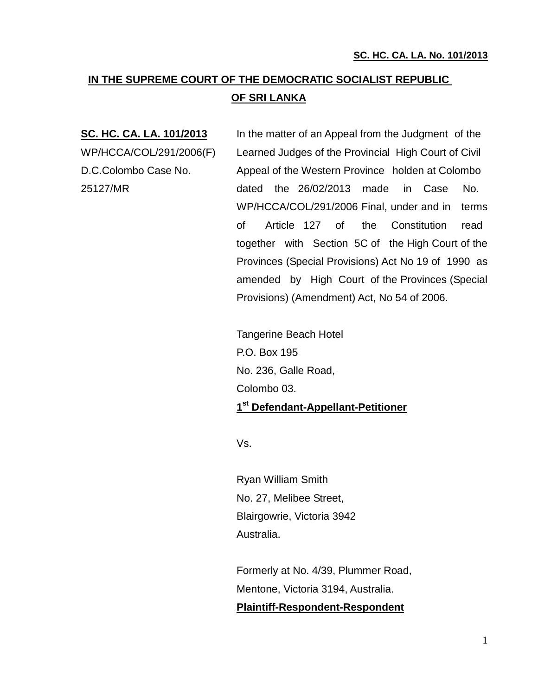# **IN THE SUPREME COURT OF THE DEMOCRATIC SOCIALIST REPUBLIC OF SRI LANKA**

**SC. HC. CA. LA. 101/2013** In the matter of an Appeal from the Judgment of the WP/HCCA/COL/291/2006(F) Learned Judges of the Provincial High Court of Civil D.C.Colombo Case No. Appeal of the Western Province holden at Colombo 25127/MR dated the 26/02/2013 made in Case No. WP/HCCA/COL/291/2006 Final, under and in terms of Article 127 of the Constitution read together with Section 5C of the High Court of the Provinces (Special Provisions) Act No 19 of 1990 as amended by High Court of the Provinces (Special Provisions) (Amendment) Act, No 54 of 2006.

> Tangerine Beach Hotel P.O. Box 195 No. 236, Galle Road, Colombo 03. **1 st Defendant-Appellant-Petitioner**

Vs.

Ryan William Smith No. 27, Melibee Street, Blairgowrie, Victoria 3942 Australia.

Formerly at No. 4/39, Plummer Road, Mentone, Victoria 3194, Australia. **Plaintiff-Respondent-Respondent**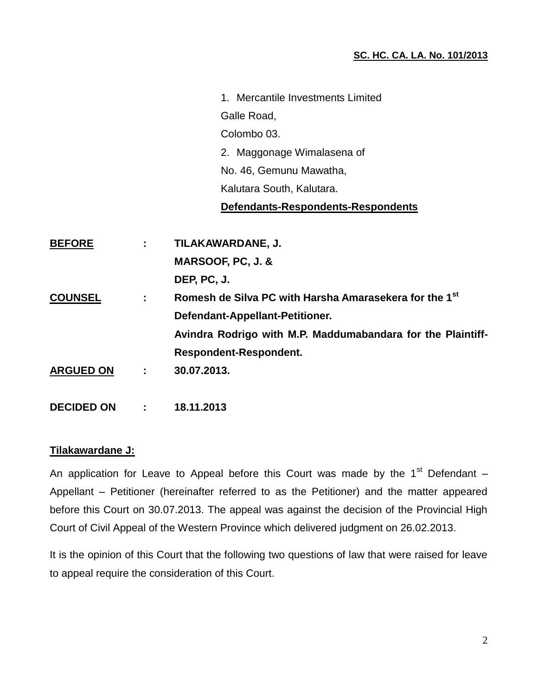1. Mercantile Investments Limited Galle Road, Colombo 03. 2. Maggonage Wimalasena of No. 46, Gemunu Mawatha, Kalutara South, Kalutara. **Defendants-Respondents-Respondents BEFORE : TILAKAWARDANE, J.**

| <b>BEFORE</b>    | л. | <u>IILAKAWARDANE, J.</u>                                           |
|------------------|----|--------------------------------------------------------------------|
|                  |    | MARSOOF, PC, J. &                                                  |
|                  |    | DEP, PC, J.                                                        |
| <b>COUNSEL</b>   | ÷  | Romesh de Silva PC with Harsha Amarasekera for the 1 <sup>st</sup> |
|                  |    | Defendant-Appellant-Petitioner.                                    |
|                  |    | Avindra Rodrigo with M.P. Maddumabandara for the Plaintiff-        |
|                  |    | <b>Respondent-Respondent.</b>                                      |
| <b>ARGUED ON</b> | ÷  | 30.07.2013.                                                        |
|                  |    |                                                                    |
|                  |    |                                                                    |

**DECIDED ON : 18.11.2013**

#### **Tilakawardane J:**

An application for Leave to Appeal before this Court was made by the  $1<sup>st</sup>$  Defendant – Appellant – Petitioner (hereinafter referred to as the Petitioner) and the matter appeared before this Court on 30.07.2013. The appeal was against the decision of the Provincial High Court of Civil Appeal of the Western Province which delivered judgment on 26.02.2013.

It is the opinion of this Court that the following two questions of law that were raised for leave to appeal require the consideration of this Court.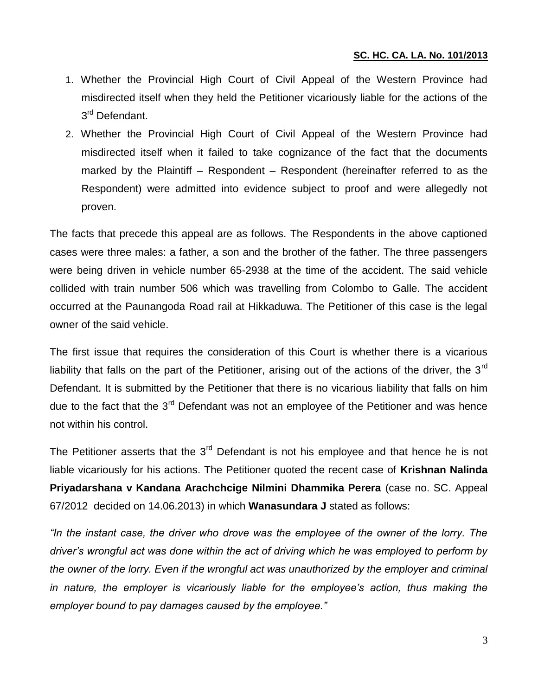- 1. Whether the Provincial High Court of Civil Appeal of the Western Province had misdirected itself when they held the Petitioner vicariously liable for the actions of the 3<sup>rd</sup> Defendant.
- 2. Whether the Provincial High Court of Civil Appeal of the Western Province had misdirected itself when it failed to take cognizance of the fact that the documents marked by the Plaintiff – Respondent – Respondent (hereinafter referred to as the Respondent) were admitted into evidence subject to proof and were allegedly not proven.

The facts that precede this appeal are as follows. The Respondents in the above captioned cases were three males: a father, a son and the brother of the father. The three passengers were being driven in vehicle number 65-2938 at the time of the accident. The said vehicle collided with train number 506 which was travelling from Colombo to Galle. The accident occurred at the Paunangoda Road rail at Hikkaduwa. The Petitioner of this case is the legal owner of the said vehicle.

The first issue that requires the consideration of this Court is whether there is a vicarious liability that falls on the part of the Petitioner, arising out of the actions of the driver, the  $3<sup>rd</sup>$ Defendant. It is submitted by the Petitioner that there is no vicarious liability that falls on him due to the fact that the 3<sup>rd</sup> Defendant was not an employee of the Petitioner and was hence not within his control.

The Petitioner asserts that the 3<sup>rd</sup> Defendant is not his employee and that hence he is not liable vicariously for his actions. The Petitioner quoted the recent case of **Krishnan Nalinda Priyadarshana v Kandana Arachchcige Nilmini Dhammika Perera** (case no. SC. Appeal 67/2012 decided on 14.06.2013) in which **Wanasundara J** stated as follows:

*"In the instant case, the driver who drove was the employee of the owner of the lorry. The driver's wrongful act was done within the act of driving which he was employed to perform by the owner of the lorry. Even if the wrongful act was unauthorized by the employer and criminal*  in nature, the employer is vicariously liable for the employee's action, thus making the *employer bound to pay damages caused by the employee."*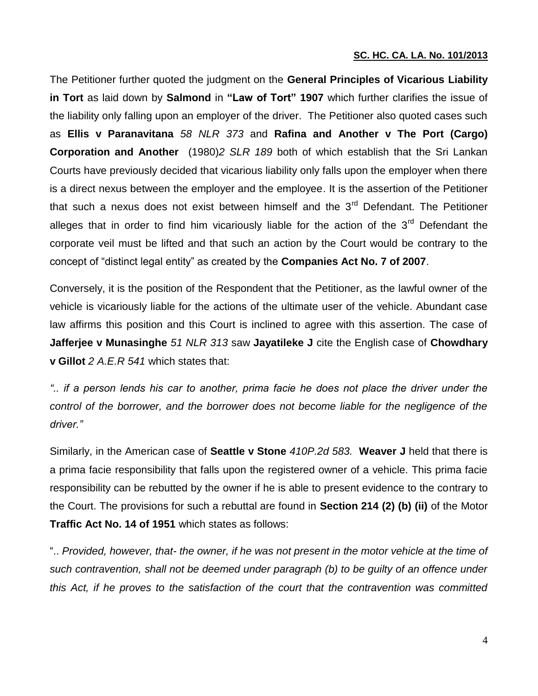The Petitioner further quoted the judgment on the **General Principles of Vicarious Liability in Tort** as laid down by **Salmond** in **"Law of Tort" 1907** which further clarifies the issue of the liability only falling upon an employer of the driver. The Petitioner also quoted cases such as **Ellis v Paranavitana** *58 NLR 373* and **Rafina and Another v The Port (Cargo) Corporation and Another** (1980)*2 SLR 189* both of which establish that the Sri Lankan Courts have previously decided that vicarious liability only falls upon the employer when there is a direct nexus between the employer and the employee. It is the assertion of the Petitioner that such a nexus does not exist between himself and the  $3<sup>rd</sup>$  Defendant. The Petitioner alleges that in order to find him vicariously liable for the action of the  $3<sup>rd</sup>$  Defendant the corporate veil must be lifted and that such an action by the Court would be contrary to the concept of "distinct legal entity" as created by the **Companies Act No. 7 of 2007**.

Conversely, it is the position of the Respondent that the Petitioner, as the lawful owner of the vehicle is vicariously liable for the actions of the ultimate user of the vehicle. Abundant case law affirms this position and this Court is inclined to agree with this assertion. The case of **Jafferjee v Munasinghe** *51 NLR 313* saw **Jayatileke J** cite the English case of **Chowdhary v Gillot** *2 A.E.R 541* which states that:

*".. if a person lends his car to another, prima facie he does not place the driver under the*  control of the borrower, and the borrower does not become liable for the negligence of the *driver."*

Similarly, in the American case of **Seattle v Stone** *410P.2d 583.* **Weaver J** held that there is a prima facie responsibility that falls upon the registered owner of a vehicle. This prima facie responsibility can be rebutted by the owner if he is able to present evidence to the contrary to the Court. The provisions for such a rebuttal are found in **Section 214 (2) (b) (ii)** of the Motor **Traffic Act No. 14 of 1951** which states as follows:

".. *Provided, however, that- the owner, if he was not present in the motor vehicle at the time of such contravention, shall not be deemed under paragraph (b) to be guilty of an offence under this Act, if he proves to the satisfaction of the court that the contravention was committed*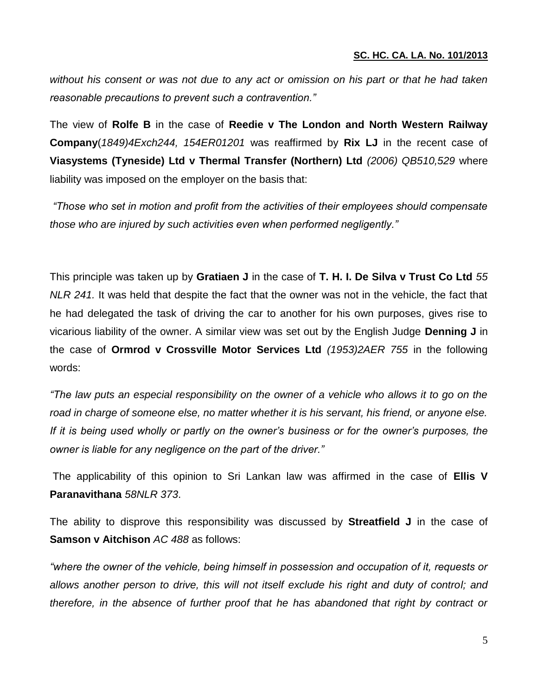*without his consent or was not due to any act or omission on his part or that he had taken reasonable precautions to prevent such a contravention."*

The view of **Rolfe B** in the case of **Reedie v The London and North Western Railway Company**(*1849)4Exch244, 154ER01201* was reaffirmed by **Rix LJ** in the recent case of **Viasystems (Tyneside) Ltd v Thermal Transfer (Northern) Ltd** *(2006) QB510,529* where liability was imposed on the employer on the basis that:

*"Those who set in motion and profit from the activities of their employees should compensate those who are injured by such activities even when performed negligently."*

This principle was taken up by **Gratiaen J** in the case of **T. H. I. De Silva v Trust Co Ltd** *55 NLR 241.* It was held that despite the fact that the owner was not in the vehicle, the fact that he had delegated the task of driving the car to another for his own purposes, gives rise to vicarious liability of the owner. A similar view was set out by the English Judge **Denning J** in the case of **Ormrod v Crossville Motor Services Ltd** *(1953)2AER 755* in the following words:

*"The law puts an especial responsibility on the owner of a vehicle who allows it to go on the road in charge of someone else, no matter whether it is his servant, his friend, or anyone else. If it is being used wholly or partly on the owner's business or for the owner's purposes, the owner is liable for any negligence on the part of the driver."*

The applicability of this opinion to Sri Lankan law was affirmed in the case of **Ellis V Paranavithana** *58NLR 373*.

The ability to disprove this responsibility was discussed by **Streatfield J** in the case of **Samson v Aitchison** *AC 488* as follows:

*"where the owner of the vehicle, being himself in possession and occupation of it, requests or allows another person to drive, this will not itself exclude his right and duty of control; and therefore, in the absence of further proof that he has abandoned that right by contract or*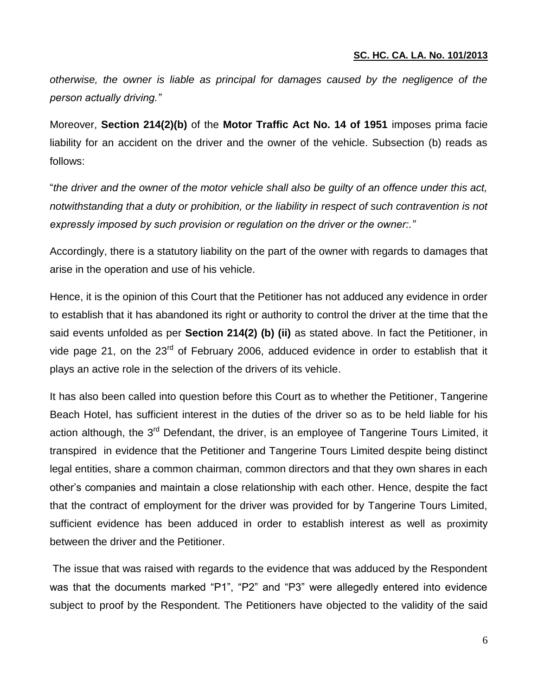*otherwise, the owner is liable as principal for damages caused by the negligence of the person actually driving."*

Moreover, **Section 214(2)(b)** of the **Motor Traffic Act No. 14 of 1951** imposes prima facie liability for an accident on the driver and the owner of the vehicle. Subsection (b) reads as follows:

"*the driver and the owner of the motor vehicle shall also be guilty of an offence under this act, notwithstanding that a duty or prohibition, or the liability in respect of such contravention is not expressly imposed by such provision or regulation on the driver or the owner:."*

Accordingly, there is a statutory liability on the part of the owner with regards to damages that arise in the operation and use of his vehicle.

Hence, it is the opinion of this Court that the Petitioner has not adduced any evidence in order to establish that it has abandoned its right or authority to control the driver at the time that the said events unfolded as per **Section 214(2) (b) (ii)** as stated above. In fact the Petitioner, in vide page 21, on the 23<sup>rd</sup> of February 2006, adduced evidence in order to establish that it plays an active role in the selection of the drivers of its vehicle.

It has also been called into question before this Court as to whether the Petitioner, Tangerine Beach Hotel, has sufficient interest in the duties of the driver so as to be held liable for his action although, the 3<sup>rd</sup> Defendant, the driver, is an employee of Tangerine Tours Limited, it transpired in evidence that the Petitioner and Tangerine Tours Limited despite being distinct legal entities, share a common chairman, common directors and that they own shares in each other's companies and maintain a close relationship with each other. Hence, despite the fact that the contract of employment for the driver was provided for by Tangerine Tours Limited, sufficient evidence has been adduced in order to establish interest as well as proximity between the driver and the Petitioner.

The issue that was raised with regards to the evidence that was adduced by the Respondent was that the documents marked "P1", "P2" and "P3" were allegedly entered into evidence subject to proof by the Respondent. The Petitioners have objected to the validity of the said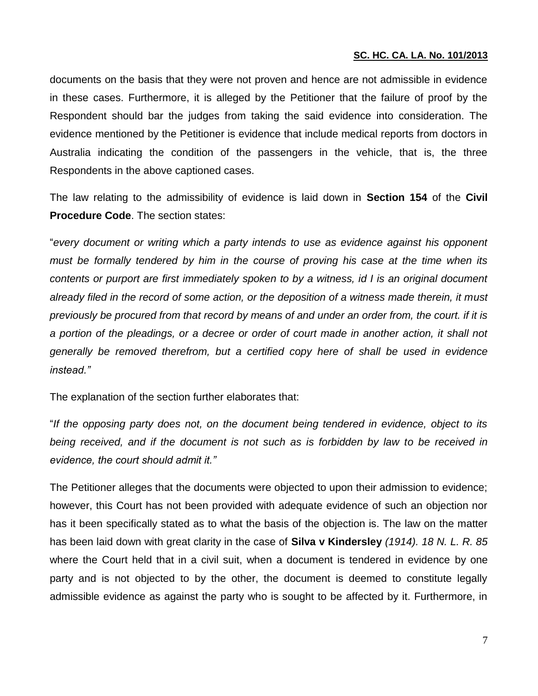documents on the basis that they were not proven and hence are not admissible in evidence in these cases. Furthermore, it is alleged by the Petitioner that the failure of proof by the Respondent should bar the judges from taking the said evidence into consideration. The evidence mentioned by the Petitioner is evidence that include medical reports from doctors in Australia indicating the condition of the passengers in the vehicle, that is, the three Respondents in the above captioned cases.

The law relating to the admissibility of evidence is laid down in **Section 154** of the **Civil Procedure Code**. The section states:

"*every document or writing which a party intends to use as evidence against his opponent must be formally tendered by him in the course of proving his case at the time when its contents or purport are first immediately spoken to by a witness, id I is an original document already filed in the record of some action, or the deposition of a witness made therein, it must previously be procured from that record by means of and under an order from, the court. if it is a portion of the pleadings, or a decree or order of court made in another action, it shall not generally be removed therefrom, but a certified copy here of shall be used in evidence instead."*

The explanation of the section further elaborates that:

"*If the opposing party does not, on the document being tendered in evidence, object to its*  being received, and if the document is not such as is forbidden by law to be received in *evidence, the court should admit it."*

The Petitioner alleges that the documents were objected to upon their admission to evidence; however, this Court has not been provided with adequate evidence of such an objection nor has it been specifically stated as to what the basis of the objection is. The law on the matter has been laid down with great clarity in the case of **Silva v Kindersley** *(1914). 18 N. L. R. 85*  where the Court held that in a civil suit, when a document is tendered in evidence by one party and is not objected to by the other, the document is deemed to constitute legally admissible evidence as against the party who is sought to be affected by it. Furthermore, in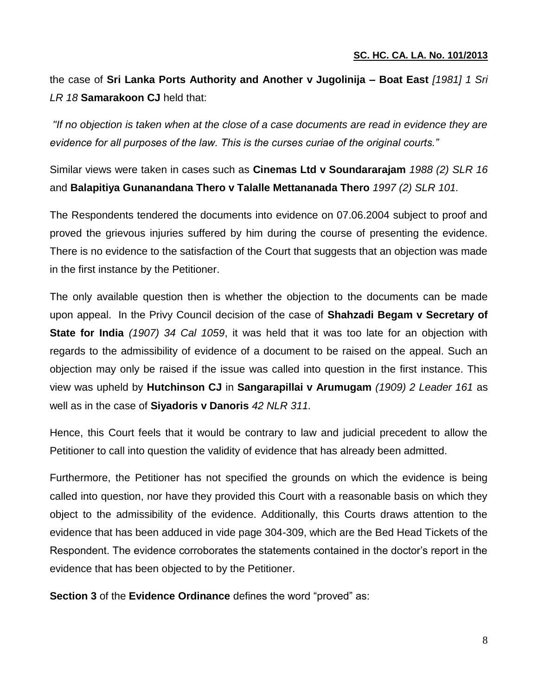the case of **Sri Lanka Ports Authority and Another v Jugolinija – Boat East** *[1981] 1 Sri LR 18* **Samarakoon CJ** held that:

*"If no objection is taken when at the close of a case documents are read in evidence they are evidence for all purposes of the law. This is the curses curiae of the original courts."*

Similar views were taken in cases such as **Cinemas Ltd v Soundararajam** *1988 (2) SLR 16* and **Balapitiya Gunanandana Thero v Talalle Mettananada Thero** *1997 (2) SLR 101.* 

The Respondents tendered the documents into evidence on 07.06.2004 subject to proof and proved the grievous injuries suffered by him during the course of presenting the evidence. There is no evidence to the satisfaction of the Court that suggests that an objection was made in the first instance by the Petitioner.

The only available question then is whether the objection to the documents can be made upon appeal. In the Privy Council decision of the case of **Shahzadi Begam v Secretary of State for India** *(1907) 34 Cal 1059*, it was held that it was too late for an objection with regards to the admissibility of evidence of a document to be raised on the appeal. Such an objection may only be raised if the issue was called into question in the first instance. This view was upheld by **Hutchinson CJ** in **Sangarapillai v Arumugam** *(1909) 2 Leader 161* as well as in the case of **Siyadoris v Danoris** *42 NLR 311.* 

Hence, this Court feels that it would be contrary to law and judicial precedent to allow the Petitioner to call into question the validity of evidence that has already been admitted.

Furthermore, the Petitioner has not specified the grounds on which the evidence is being called into question, nor have they provided this Court with a reasonable basis on which they object to the admissibility of the evidence. Additionally, this Courts draws attention to the evidence that has been adduced in vide page 304-309, which are the Bed Head Tickets of the Respondent. The evidence corroborates the statements contained in the doctor's report in the evidence that has been objected to by the Petitioner.

**Section 3** of the **Evidence Ordinance** defines the word "proved" as: